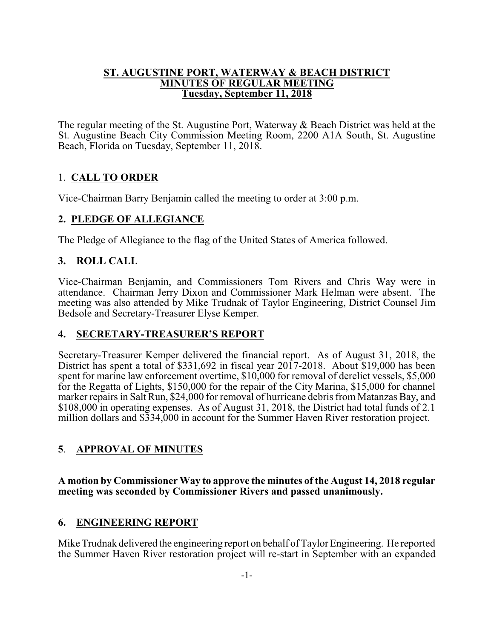#### **ST. AUGUSTINE PORT, WATERWAY & BEACH DISTRICT MINUTES OF REGULAR MEETING Tuesday, September 11, 2018**

The regular meeting of the St. Augustine Port, Waterway & Beach District was held at the St. Augustine Beach City Commission Meeting Room, 2200 A1A South, St. Augustine Beach, Florida on Tuesday, September 11, 2018.

# 1. **CALL TO ORDER**

Vice-Chairman Barry Benjamin called the meeting to order at 3:00 p.m.

### **2. PLEDGE OF ALLEGIANCE**

The Pledge of Allegiance to the flag of the United States of America followed.

## **3. ROLL CALL**

Vice-Chairman Benjamin, and Commissioners Tom Rivers and Chris Way were in attendance. Chairman Jerry Dixon and Commissioner Mark Helman were absent. The meeting was also attended by Mike Trudnak of Taylor Engineering, District Counsel Jim Bedsole and Secretary-Treasurer Elyse Kemper.

### **4. SECRETARY-TREASURER'S REPORT**

Secretary-Treasurer Kemper delivered the financial report. As of August 31, 2018, the District has spent a total of \$331,692 in fiscal year 2017-2018. About \$19,000 has been spent for marine law enforcement overtime, \$10,000 for removal of derelict vessels, \$5,000 for the Regatta of Lights, \$150,000 for the repair of the City Marina, \$15,000 for channel marker repairs in Salt Run, \$24,000 for removal of hurricane debris from Matanzas Bay, and \$108,000 in operating expenses. As of August 31, 2018, the District had total funds of 2.1 million dollars and \$334,000 in account for the Summer Haven River restoration project.

## **5**. **APPROVAL OF MINUTES**

#### **A motion by Commissioner Way to approve the minutes of the August 14, 2018 regular meeting was seconded by Commissioner Rivers and passed unanimously.**

## **6. ENGINEERING REPORT**

Mike Trudnak delivered the engineering report on behalf of Taylor Engineering. He reported the Summer Haven River restoration project will re-start in September with an expanded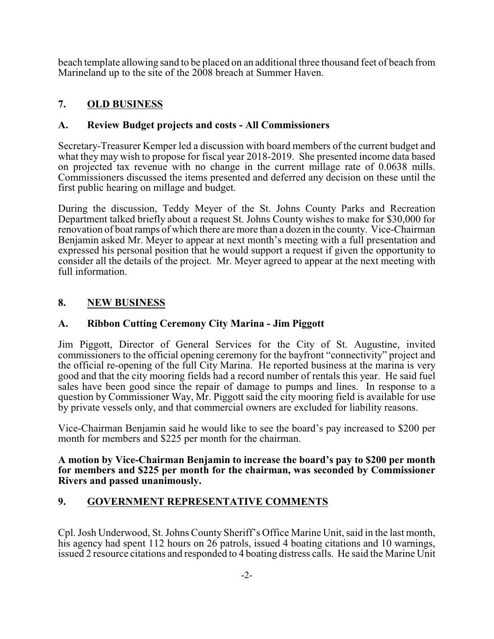beach template allowing sand to be placed on an additional three thousand feet of beach from Marineland up to the site of the 2008 breach at Summer Haven.

## **7. OLD BUSINESS**

### **A. Review Budget projects and costs - All Commissioners**

Secretary-Treasurer Kemper led a discussion with board members of the current budget and what they may wish to propose for fiscal year 2018-2019. She presented income data based on projected tax revenue with no change in the current millage rate of 0.0638 mills. Commissioners discussed the items presented and deferred any decision on these until the first public hearing on millage and budget.

During the discussion, Teddy Meyer of the St. Johns County Parks and Recreation Department talked briefly about a request St. Johns County wishes to make for \$30,000 for renovation of boat ramps of which there are more than a dozen in the county. Vice-Chairman Benjamin asked Mr. Meyer to appear at next month's meeting with a full presentation and expressed his personal position that he would support a request if given the opportunity to consider all the details of the project. Mr. Meyer agreed to appear at the next meeting with full information.

## **8. NEW BUSINESS**

### **A. Ribbon Cutting Ceremony City Marina - Jim Piggott**

Jim Piggott, Director of General Services for the City of St. Augustine, invited commissioners to the official opening ceremony for the bayfront "connectivity" project and the official re-opening of the full City Marina. He reported business at the marina is very good and that the city mooring fields had a record number of rentals this year. He said fuel sales have been good since the repair of damage to pumps and lines. In response to a question by Commissioner Way, Mr. Piggott said the city mooring field is available for use by private vessels only, and that commercial owners are excluded for liability reasons.

Vice-Chairman Benjamin said he would like to see the board's pay increased to \$200 per month for members and \$225 per month for the chairman.

#### **A motion by Vice-Chairman Benjamin to increase the board's pay to \$200 per month for members and \$225 per month for the chairman, was seconded by Commissioner Rivers and passed unanimously.**

## **9. GOVERNMENT REPRESENTATIVE COMMENTS**

Cpl. Josh Underwood, St. Johns County Sheriff's Office Marine Unit, said in the last month, his agency had spent 112 hours on 26 patrols, issued 4 boating citations and 10 warnings, issued 2 resource citations and responded to 4 boating distress calls. He said the Marine Unit